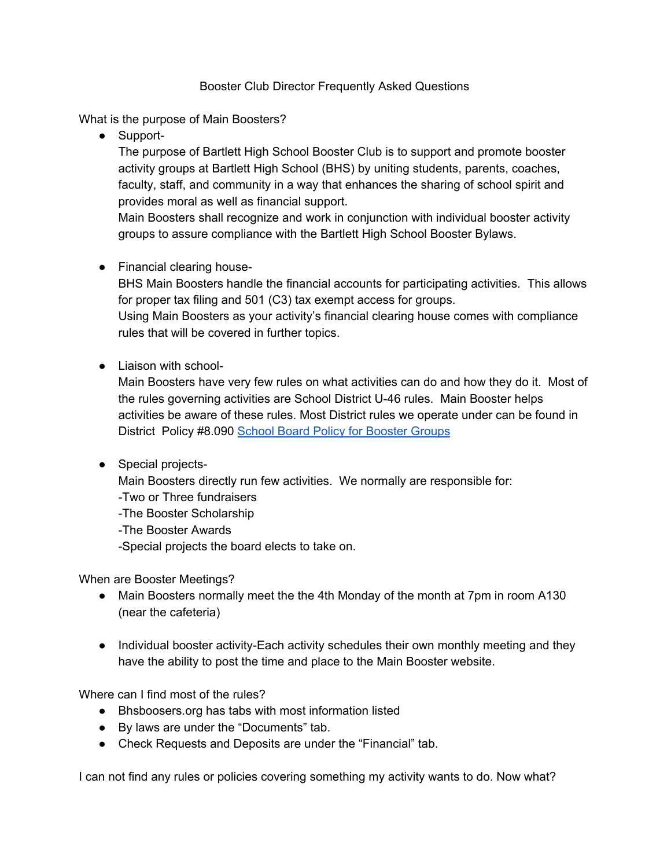#### Booster Club Director Frequently Asked Questions

What is the purpose of Main Boosters?

● Support-

The purpose of Bartlett High School Booster Club is to support and promote booster activity groups at Bartlett High School (BHS) by uniting students, parents, coaches, faculty, staff, and community in a way that enhances the sharing of school spirit and provides moral as well as financial support.

Main Boosters shall recognize and work in conjunction with individual booster activity groups to assure compliance with the Bartlett High School Booster Bylaws.

● Financial clearing house-

BHS Main Boosters handle the financial accounts for participating activities. This allows for proper tax filing and 501 (C3) tax exempt access for groups.

Using Main Boosters as your activity's financial clearing house comes with compliance rules that will be covered in further topics.

● Liaison with school-

Main Boosters have very few rules on what activities can do and how they do it. Most of the rules governing activities are School District U-46 rules. Main Booster helps activities be aware of these rules. Most District rules we operate under can be found in District Policy #8.090 School Board Policy for [Booster](https://www.u-46.org/cms/lib/IL01804616/Centricity/Domain/1589/section_8_FINAL_2015.pdf) Groups

● Special projects-

Main Boosters directly run few activities. We normally are responsible for:

- -Two or Three fundraisers
- -The Booster Scholarship
- -The Booster Awards

-Special projects the board elects to take on.

When are Booster Meetings?

- Main Boosters normally meet the the 4th Monday of the month at 7pm in room A130 (near the cafeteria)
- Individual booster activity-Each activity schedules their own monthly meeting and they have the ability to post the time and place to the Main Booster website.

Where can I find most of the rules?

- Bhsboosers.org has tabs with most information listed
- By laws are under the "Documents" tab.
- Check Requests and Deposits are under the "Financial" tab.

I can not find any rules or policies covering something my activity wants to do. Now what?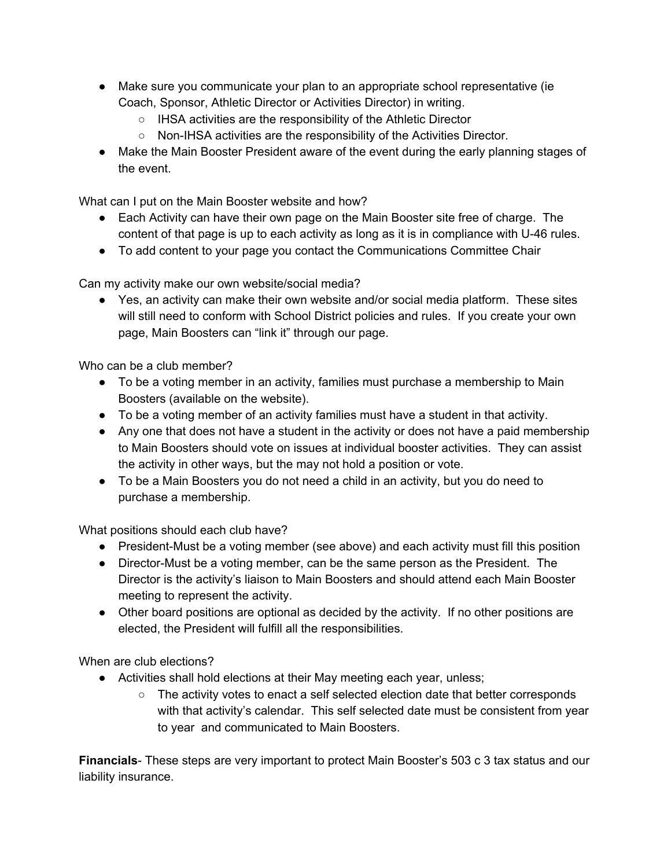- Make sure you communicate your plan to an appropriate school representative (ie Coach, Sponsor, Athletic Director or Activities Director) in writing.
	- IHSA activities are the responsibility of the Athletic Director
	- Non-IHSA activities are the responsibility of the Activities Director.
- Make the Main Booster President aware of the event during the early planning stages of the event.

What can I put on the Main Booster website and how?

- Each Activity can have their own page on the Main Booster site free of charge. The content of that page is up to each activity as long as it is in compliance with U-46 rules.
- To add content to your page you contact the Communications Committee Chair

Can my activity make our own website/social media?

● Yes, an activity can make their own website and/or social media platform. These sites will still need to conform with School District policies and rules. If you create your own page, Main Boosters can "link it" through our page.

Who can be a club member?

- To be a voting member in an activity, families must purchase a membership to Main Boosters (available on the website).
- To be a voting member of an activity families must have a student in that activity.
- Any one that does not have a student in the activity or does not have a paid membership to Main Boosters should vote on issues at individual booster activities. They can assist the activity in other ways, but the may not hold a position or vote.
- To be a Main Boosters you do not need a child in an activity, but you do need to purchase a membership.

What positions should each club have?

- President-Must be a voting member (see above) and each activity must fill this position
- Director-Must be a voting member, can be the same person as the President. The Director is the activity's liaison to Main Boosters and should attend each Main Booster meeting to represent the activity.
- Other board positions are optional as decided by the activity. If no other positions are elected, the President will fulfill all the responsibilities.

When are club elections?

- Activities shall hold elections at their May meeting each year, unless;
	- The activity votes to enact a self selected election date that better corresponds with that activity's calendar. This self selected date must be consistent from year to year and communicated to Main Boosters.

**Financials**- These steps are very important to protect Main Booster's 503 c 3 tax status and our liability insurance.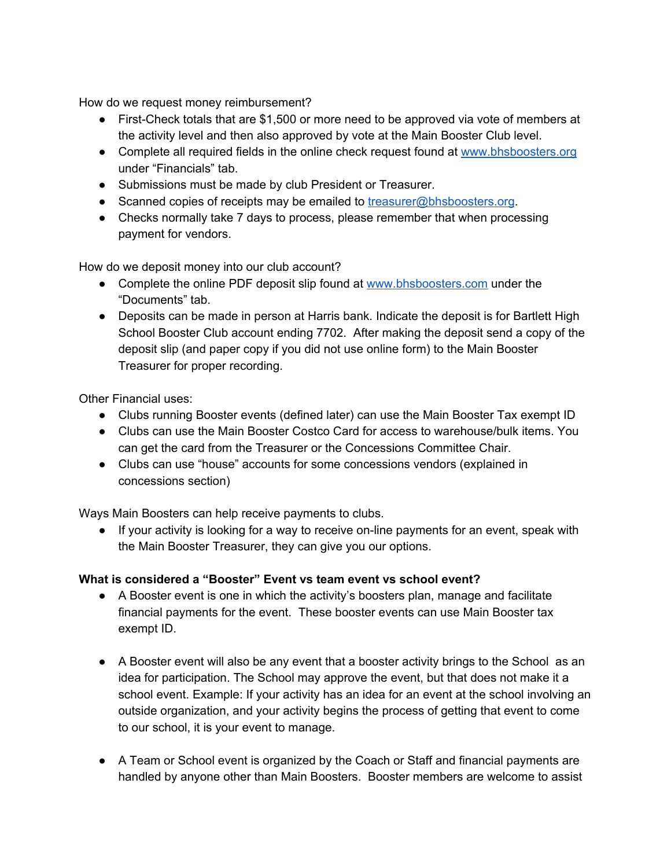How do we request money reimbursement?

- First-Check totals that are \$1,500 or more need to be approved via vote of members at the activity level and then also approved by vote at the Main Booster Club level.
- Complete all required fields in the online check request found at [www.bhsboosters.org](http://www.bhsboosters.org/) under "Financials" tab.
- Submissions must be made by club President or Treasurer.
- Scanned copies of receipts may be emailed to [treasurer@bhsboosters.org.](mailto:treasurer@bhsboosters.org)
- Checks normally take 7 days to process, please remember that when processing payment for vendors.

How do we deposit money into our club account?

- Complete the online PDF deposit slip found at [www.bhsboosters.com](http://www.bhsboosters.com/) under the "Documents" tab.
- Deposits can be made in person at Harris bank. Indicate the deposit is for Bartlett High School Booster Club account ending 7702. After making the deposit send a copy of the deposit slip (and paper copy if you did not use online form) to the Main Booster Treasurer for proper recording.

Other Financial uses:

- Clubs running Booster events (defined later) can use the Main Booster Tax exempt ID
- Clubs can use the Main Booster Costco Card for access to warehouse/bulk items. You can get the card from the Treasurer or the Concessions Committee Chair.
- Clubs can use "house" accounts for some concessions vendors (explained in concessions section)

Ways Main Boosters can help receive payments to clubs.

● If your activity is looking for a way to receive on-line payments for an event, speak with the Main Booster Treasurer, they can give you our options.

## **What is considered a "Booster" Event vs team event vs school event?**

- A Booster event is one in which the activity's boosters plan, manage and facilitate financial payments for the event. These booster events can use Main Booster tax exempt ID.
- A Booster event will also be any event that a booster activity brings to the School as an idea for participation. The School may approve the event, but that does not make it a school event. Example: If your activity has an idea for an event at the school involving an outside organization, and your activity begins the process of getting that event to come to our school, it is your event to manage.
- A Team or School event is organized by the Coach or Staff and financial payments are handled by anyone other than Main Boosters. Booster members are welcome to assist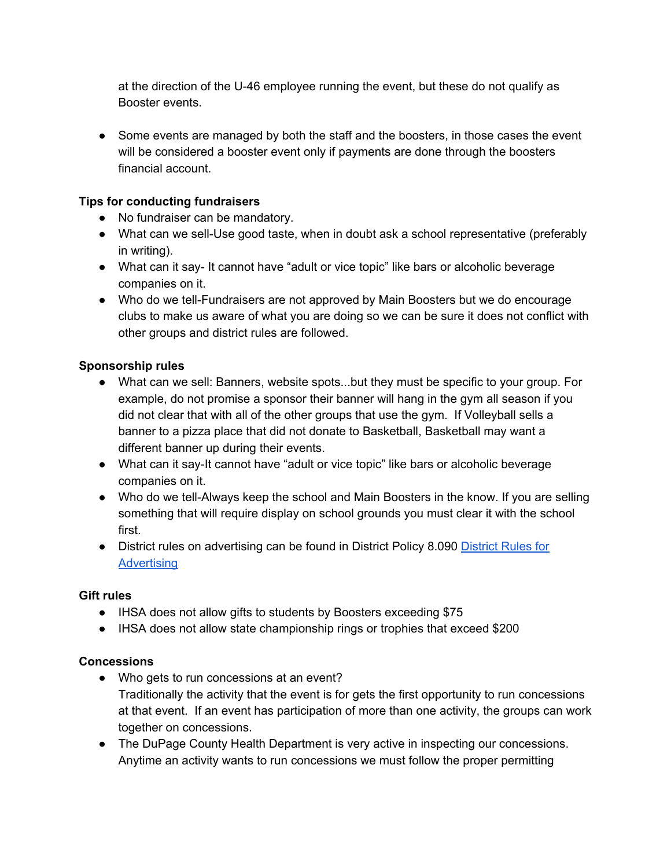at the direction of the U-46 employee running the event, but these do not qualify as Booster events.

• Some events are managed by both the staff and the boosters, in those cases the event will be considered a booster event only if payments are done through the boosters financial account.

# **Tips for conducting fundraisers**

- No fundraiser can be mandatory.
- What can we sell-Use good taste, when in doubt ask a school representative (preferably in writing).
- What can it say- It cannot have "adult or vice topic" like bars or alcoholic beverage companies on it.
- Who do we tell-Fundraisers are not approved by Main Boosters but we do encourage clubs to make us aware of what you are doing so we can be sure it does not conflict with other groups and district rules are followed.

# **Sponsorship rules**

- What can we sell: Banners, website spots...but they must be specific to your group. For example, do not promise a sponsor their banner will hang in the gym all season if you did not clear that with all of the other groups that use the gym. If Volleyball sells a banner to a pizza place that did not donate to Basketball, Basketball may want a different banner up during their events.
- What can it say-It cannot have "adult or vice topic" like bars or alcoholic beverage companies on it.
- Who do we tell-Always keep the school and Main Boosters in the know. If you are selling something that will require display on school grounds you must clear it with the school first.
- [District](https://www.u-46.org/cms/lib/IL01804616/Centricity/Domain/1589/section_8_FINAL_2015.pdf) rules on advertising can be found in District Policy 8.090 District Rules for **[Advertising](https://www.u-46.org/cms/lib/IL01804616/Centricity/Domain/1589/section_8_FINAL_2015.pdf)**

## **Gift rules**

- IHSA does not allow gifts to students by Boosters exceeding \$75
- IHSA does not allow state championship rings or trophies that exceed \$200

## **Concessions**

- Who gets to run concessions at an event? Traditionally the activity that the event is for gets the first opportunity to run concessions at that event. If an event has participation of more than one activity, the groups can work together on concessions.
- The DuPage County Health Department is very active in inspecting our concessions. Anytime an activity wants to run concessions we must follow the proper permitting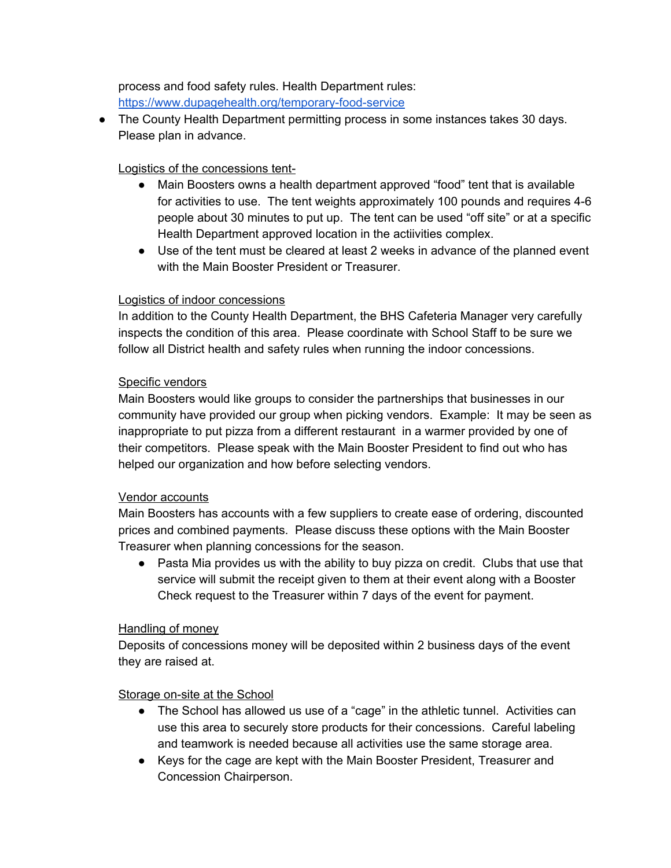process and food safety rules. Health Department rules: <https://www.dupagehealth.org/temporary-food-service>

● The County Health Department permitting process in some instances takes 30 days. Please plan in advance.

# Logistics of the concessions tent-

- Main Boosters owns a health department approved "food" tent that is available for activities to use. The tent weights approximately 100 pounds and requires 4-6 people about 30 minutes to put up. The tent can be used "off site" or at a specific Health Department approved location in the actiivities complex.
- Use of the tent must be cleared at least 2 weeks in advance of the planned event with the Main Booster President or Treasurer.

## Logistics of indoor concessions

In addition to the County Health Department, the BHS Cafeteria Manager very carefully inspects the condition of this area. Please coordinate with School Staff to be sure we follow all District health and safety rules when running the indoor concessions.

## Specific vendors

Main Boosters would like groups to consider the partnerships that businesses in our community have provided our group when picking vendors. Example: It may be seen as inappropriate to put pizza from a different restaurant in a warmer provided by one of their competitors. Please speak with the Main Booster President to find out who has helped our organization and how before selecting vendors.

#### Vendor accounts

Main Boosters has accounts with a few suppliers to create ease of ordering, discounted prices and combined payments. Please discuss these options with the Main Booster Treasurer when planning concessions for the season.

• Pasta Mia provides us with the ability to buy pizza on credit. Clubs that use that service will submit the receipt given to them at their event along with a Booster Check request to the Treasurer within 7 days of the event for payment.

## Handling of money

Deposits of concessions money will be deposited within 2 business days of the event they are raised at.

## Storage on-site at the School

- The School has allowed us use of a "cage" in the athletic tunnel. Activities can use this area to securely store products for their concessions. Careful labeling and teamwork is needed because all activities use the same storage area.
- Keys for the cage are kept with the Main Booster President, Treasurer and Concession Chairperson.